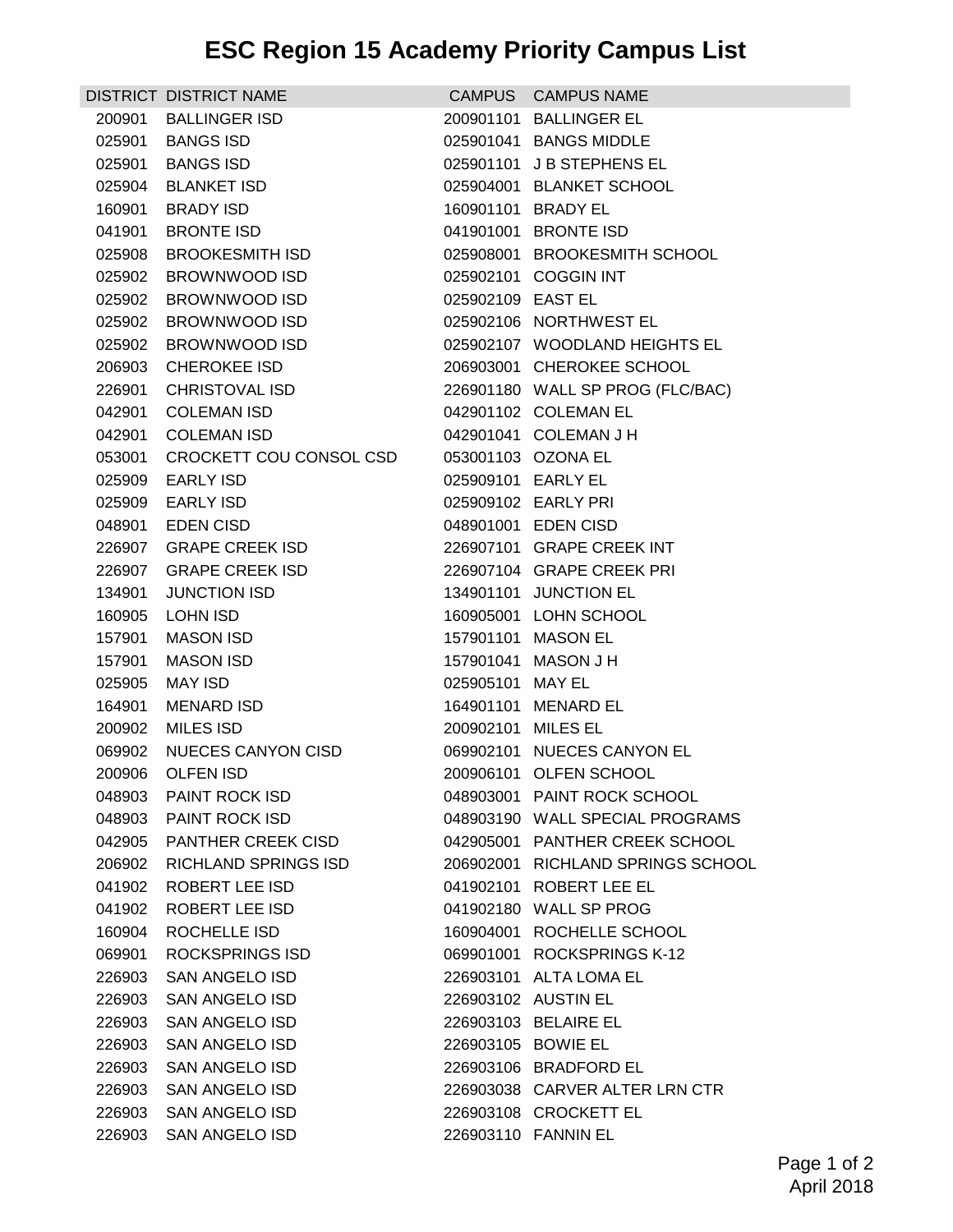## **ESC Region 15 Academy Priority Campus List**

|        | DISTRICT DISTRICT NAME      |                    | CAMPUS CAMPUS NAME                |
|--------|-----------------------------|--------------------|-----------------------------------|
| 200901 | <b>BALLINGER ISD</b>        |                    | 200901101 BALLINGER EL            |
| 025901 | <b>BANGS ISD</b>            |                    | 025901041 BANGS MIDDLE            |
| 025901 | <b>BANGS ISD</b>            |                    | 025901101 J B STEPHENS EL         |
| 025904 | <b>BLANKET ISD</b>          |                    | 025904001 BLANKET SCHOOL          |
|        | 160901 BRADY ISD            |                    | 160901101 BRADY EL                |
| 041901 | <b>BRONTE ISD</b>           |                    | 041901001 BRONTE ISD              |
| 025908 | <b>BROOKESMITH ISD</b>      |                    | 025908001 BROOKESMITH SCHOOL      |
| 025902 | BROWNWOOD ISD               |                    | 025902101 COGGIN INT              |
|        | 025902 BROWNWOOD ISD        | 025902109 EAST EL  |                                   |
|        | 025902 BROWNWOOD ISD        |                    | 025902106 NORTHWEST EL            |
| 025902 | BROWNWOOD ISD               |                    | 025902107 WOODLAND HEIGHTS EL     |
| 206903 | <b>CHEROKEE ISD</b>         |                    | 206903001 CHEROKEE SCHOOL         |
| 226901 | <b>CHRISTOVAL ISD</b>       |                    | 226901180 WALL SP PROG (FLC/BAC)  |
| 042901 | <b>COLEMAN ISD</b>          |                    | 042901102 COLEMAN EL              |
| 042901 | <b>COLEMAN ISD</b>          |                    | 042901041 COLEMAN J H             |
| 053001 | CROCKETT COU CONSOL CSD     |                    | 053001103 OZONA EL                |
| 025909 | <b>EARLY ISD</b>            | 025909101 EARLY EL |                                   |
| 025909 | <b>EARLY ISD</b>            |                    | 025909102 EARLY PRI               |
| 048901 | <b>EDEN CISD</b>            |                    | 048901001 EDEN CISD               |
| 226907 | <b>GRAPE CREEK ISD</b>      |                    | 226907101 GRAPE CREEK INT         |
| 226907 | <b>GRAPE CREEK ISD</b>      |                    | 226907104 GRAPE CREEK PRI         |
| 134901 | <b>JUNCTION ISD</b>         |                    | 134901101 JUNCTION EL             |
| 160905 | <b>LOHN ISD</b>             |                    | 160905001 LOHN SCHOOL             |
| 157901 | MASON ISD                   |                    | 157901101 MASON EL                |
| 157901 | <b>MASON ISD</b>            |                    | 157901041 MASON J H               |
| 025905 | MAY ISD                     | 025905101 MAY EL   |                                   |
| 164901 | <b>MENARD ISD</b>           |                    | 164901101 MENARD EL               |
| 200902 | MILES ISD                   | 200902101 MILES EL |                                   |
| 069902 | NUECES CANYON CISD          |                    | 069902101 NUECES CANYON EL        |
| 200906 | OLFEN ISD                   |                    | 200906101 OLFEN SCHOOL            |
|        | 048903 PAINT ROCK ISD       |                    | 048903001 PAINT ROCK SCHOOL       |
| 048903 | PAINT ROCK ISD              |                    | 048903190 WALL SPECIAL PROGRAMS   |
| 042905 | <b>PANTHER CREEK CISD</b>   |                    | 042905001 PANTHER CREEK SCHOOL    |
| 206902 | <b>RICHLAND SPRINGS ISD</b> |                    | 206902001 RICHLAND SPRINGS SCHOOL |
| 041902 | ROBERT LEE ISD              |                    | 041902101 ROBERT LEE EL           |
| 041902 | ROBERT LEE ISD              |                    | 041902180 WALL SP PROG            |
| 160904 | ROCHELLE ISD                |                    | 160904001 ROCHELLE SCHOOL         |
| 069901 | <b>ROCKSPRINGS ISD</b>      |                    | 069901001 ROCKSPRINGS K-12        |
| 226903 | SAN ANGELO ISD              |                    | 226903101 ALTA LOMA EL            |
| 226903 | SAN ANGELO ISD              |                    | 226903102 AUSTIN EL               |
| 226903 | SAN ANGELO ISD              |                    | 226903103 BELAIRE EL              |
| 226903 | <b>SAN ANGELO ISD</b>       | 226903105 BOWIE EL |                                   |
| 226903 | SAN ANGELO ISD              |                    | 226903106 BRADFORD EL             |
| 226903 | <b>SAN ANGELO ISD</b>       |                    | 226903038 CARVER ALTER LRN CTR    |
| 226903 | SAN ANGELO ISD              |                    | 226903108 CROCKETT EL             |
| 226903 | SAN ANGELO ISD              |                    | 226903110 FANNIN EL               |